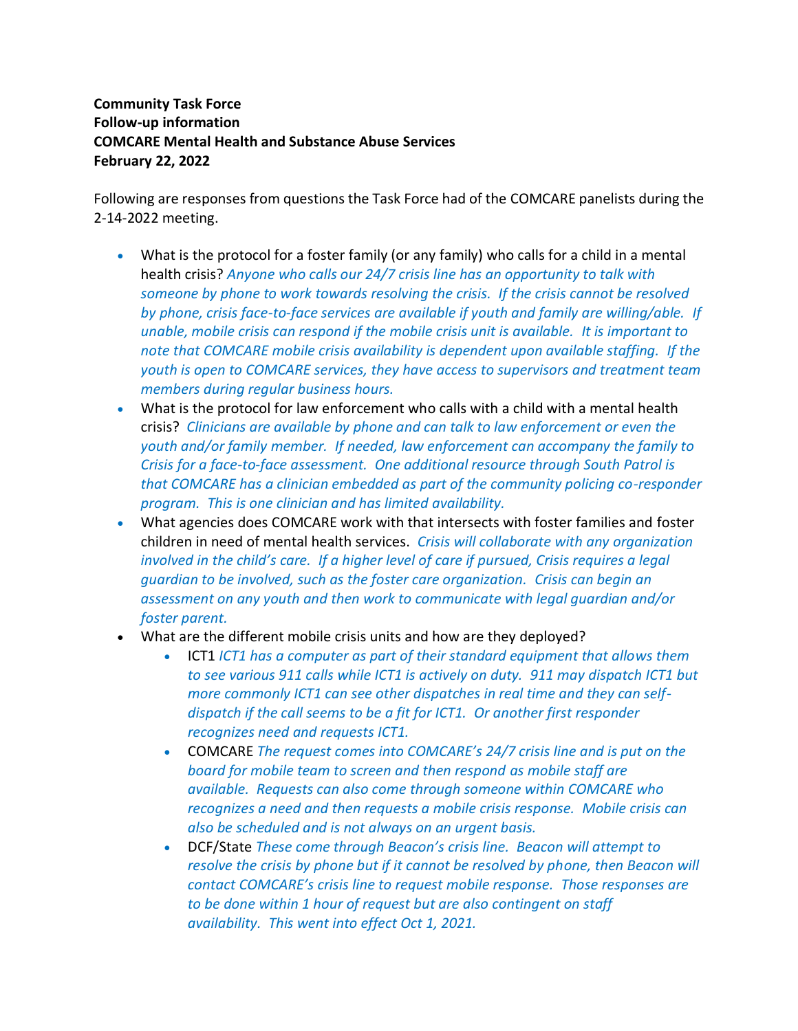## **Community Task Force Follow-up information COMCARE Mental Health and Substance Abuse Services February 22, 2022**

Following are responses from questions the Task Force had of the COMCARE panelists during the 2-14-2022 meeting.

- What is the protocol for a foster family (or any family) who calls for a child in a mental health crisis? *Anyone who calls our 24/7 crisis line has an opportunity to talk with someone by phone to work towards resolving the crisis. If the crisis cannot be resolved by phone, crisis face-to-face services are available if youth and family are willing/able. If unable, mobile crisis can respond if the mobile crisis unit is available. It is important to note that COMCARE mobile crisis availability is dependent upon available staffing. If the youth is open to COMCARE services, they have access to supervisors and treatment team members during regular business hours.*
- What is the protocol for law enforcement who calls with a child with a mental health crisis? *Clinicians are available by phone and can talk to law enforcement or even the youth and/or family member. If needed, law enforcement can accompany the family to Crisis for a face-to-face assessment. One additional resource through South Patrol is that COMCARE has a clinician embedded as part of the community policing co-responder program. This is one clinician and has limited availability.*
- What agencies does COMCARE work with that intersects with foster families and foster children in need of mental health services. *Crisis will collaborate with any organization involved in the child's care. If a higher level of care if pursued, Crisis requires a legal guardian to be involved, such as the foster care organization. Crisis can begin an assessment on any youth and then work to communicate with legal guardian and/or foster parent.*
- What are the different mobile crisis units and how are they deployed?
	- ICT1 *ICT1 has a computer as part of their standard equipment that allows them to see various 911 calls while ICT1 is actively on duty. 911 may dispatch ICT1 but more commonly ICT1 can see other dispatches in real time and they can selfdispatch if the call seems to be a fit for ICT1. Or another first responder recognizes need and requests ICT1.*
	- COMCARE *The request comes into COMCARE's 24/7 crisis line and is put on the board for mobile team to screen and then respond as mobile staff are available. Requests can also come through someone within COMCARE who recognizes a need and then requests a mobile crisis response. Mobile crisis can also be scheduled and is not always on an urgent basis.*
	- DCF/State *These come through Beacon's crisis line. Beacon will attempt to resolve the crisis by phone but if it cannot be resolved by phone, then Beacon will contact COMCARE's crisis line to request mobile response. Those responses are to be done within 1 hour of request but are also contingent on staff availability. This went into effect Oct 1, 2021.*